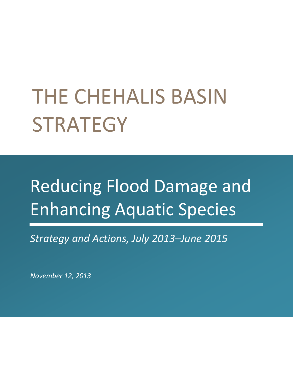# THE CHEHALIS BASIN **STRATEGY**

## Reducing Flood Damage and Enhancing Aquatic Species

*Strategy and Actions, July 2013–June 2015*

*November 12, 2013*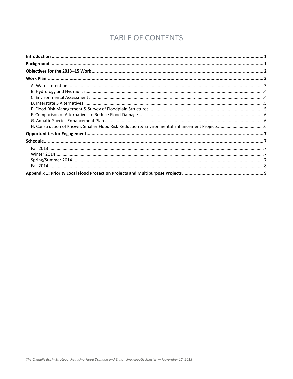## **TABLE OF CONTENTS**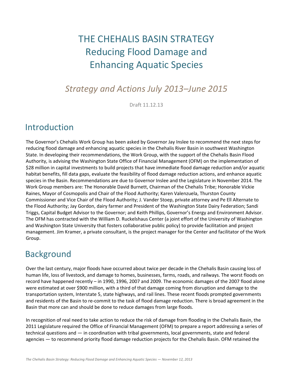## THE CHEHALIS BASIN STRATEGY Reducing Flood Damage and Enhancing Aquatic Species

## *Strategy and Actions July 2013–June 2015*

Draft 11.12.13

## Introduction

The Governor's Chehalis Work Group has been asked by Governor Jay Inslee to recommend the next steps for reducing flood damage and enhancing aquatic species in the Chehalis River Basin in southwest Washington State. In developing their recommendations, the Work Group, with the support of the Chehalis Basin Flood Authority, is advising the Washington State Office of Financial Management (OFM) on the implementation of \$28 million in capital investments to build projects that have immediate flood damage reduction and/or aquatic habitat benefits, fill data gaps, evaluate the feasibility of flood damage reduction actions, and enhance aquatic species in the Basin. Recommendations are due to Governor Inslee and the Legislature in November 2014. The Work Group members are: The Honorable David Burnett, Chairman of the Chehalis Tribe; Honorable Vickie Raines, Mayor of Cosmopolis and Chair of the Flood Authority; Karen Valenzuela, Thurston County Commissioner and Vice Chair of the Flood Authority; J. Vander Stoep, private attorney and Pe Ell Alternate to the Flood Authority; Jay Gordon, dairy farmer and President of the Washington State Dairy Federation; Sandi Triggs, Capital Budget Advisor to the Governor; and Keith Phillips, Governor's Energy and Environment Advisor. The OFM has contracted with the William D. Ruckelshaus Center (a joint effort of the University of Washington and Washington State University that fosters collaborative public policy) to provide facilitation and project management. Jim Kramer, a private consultant, is the project manager for the Center and facilitator of the Work Group.

## Background

Over the last century, major floods have occurred about twice per decade in the Chehalis Basin causing loss of human life, loss of livestock, and damage to homes, businesses, farms, roads, and railways. The worst floods on record have happened recently – in 1990, 1996, 2007 and 2009. The economic damages of the 2007 flood alone were estimated at over \$900 million, with a third of that damage coming from disruption and damage to the transportation system, Interstate 5, state highways, and rail lines. These recent floods prompted governments and residents of the Basin to re‐commit to the task of flood damage reduction. There is broad agreement in the Basin that more can and should be done to reduce damages from large floods.

In recognition of real need to take action to reduce the risk of damage from flooding in the Chehalis Basin, the 2011 Legislature required the Office of Financial Management (OFM) to prepare a report addressing a series of technical questions and — in coordination with tribal governments, local governments, state and federal agencies — to recommend priority flood damage reduction projects for the Chehalis Basin. OFM retained the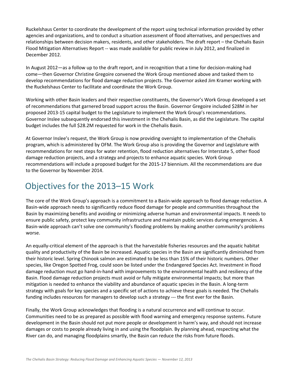Ruckelshaus Center to coordinate the development of the report using technical information provided by other agencies and organizations, and to conduct a situation assessment of flood alternatives, and perspectives and relationships between decision makers, residents, and other stakeholders. The draft report – the Chehalis Basin Flood Mitigation Alternatives Report ‐‐ was made available for public review in July 2012, and finalized in December 2012.

In August 2012—as a follow up to the draft report, and in recognition that a time for decision‐making had come—then Governor Christine Gregoire convened the Work Group mentioned above and tasked them to develop recommendations for flood damage reduction projects. The Governor asked Jim Kramer working with the Ruckelshaus Center to facilitate and coordinate the Work Group.

Working with other Basin leaders and their respective constituents, the Governor's Work Group developed a set of recommendations that garnered broad support across the Basin. Governor Gregoire included \$28M in her proposed 2013‐15 capital budget to the Legislature to implement the Work Group's recommendations. Governor Inslee subsequently endorsed this investment in the Chehalis Basin, as did the Legislature. The capital budget includes the full \$28.2M requested for work in the Chehalis Basin.

At Governor Inslee's request, the Work Group is now providing oversight to implementation of the Chehalis program, which is administered by OFM. The Work Group also is providing the Governor and Legislature with recommendations for next steps for water retention, flood reduction alternatives for Interstate 5, other flood damage reduction projects, and a strategy and projects to enhance aquatic species. Work Group recommendations will include a proposed budget for the 2015‐17 biennium. All the recommendations are due to the Governor by November 2014.

## Objectives for the 2013–15 Work

The core of the Work Group's approach is a commitment to a Basin‐wide approach to flood damage reduction. A Basin‐wide approach needs to significantly reduce flood damage for people and communities throughout the Basin by maximizing benefits and avoiding or minimizing adverse human and environmental impacts. It needs to ensure public safety, protect key community infrastructure and maintain public services during emergencies. A Basin‐wide approach can't solve one community's flooding problems by making another community's problems worse.

An equally‐critical element of the approach is that the harvestable fisheries resources and the aquatic habitat quality and productivity of the Basin be increased. Aquatic species in the Basin are significantly diminished from their historic level. Spring Chinook salmon are estimated to be less than 15% of their historic numbers. Other species, like Oregon Spotted Frog, could soon be listed under the Endangered Species Act. Investment in flood damage reduction must go hand‐in‐hand with improvements to the environmental health and resiliency of the Basin. Flood damage reduction projects must avoid or fully mitigate environmental impacts; but more than mitigation is needed to enhance the viability and abundance of aquatic species in the Basin. A long‐term strategy with goals for key species and a specific set of actions to achieve these goals is needed. The Chehalis funding includes resources for managers to develop such a strategy --- the first ever for the Basin.

Finally, the Work Group acknowledges that flooding is a natural occurrence and will continue to occur. Communities need to be as prepared as possible with flood warning and emergency response systems. Future development in the Basin should not put more people or development in harm's way, and should not increase damages or costs to people already living in and using the floodplain. By planning ahead, respecting what the River can do, and managing floodplains smartly, the Basin can reduce the risks from future floods.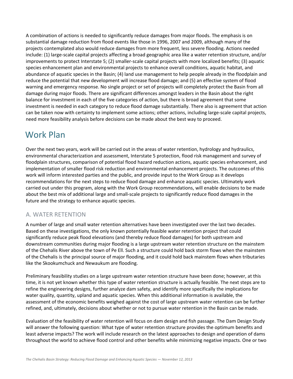A combination of actions is needed to significantly reduce damages from major floods. The emphasis is on substantial damage reduction from flood events like those in 1996, 2007 and 2009, although many of the projects contemplated also would reduce damages from more frequent, less severe flooding. Actions needed include: (1) large‐scale capital projects affecting a broad geographic area like a water retention structure, and/or improvements to protect Interstate 5; (2) smaller-scale capital projects with more localized benefits; (3) aquatic species enhancement plan and environmental projects to enhance overall conditions, aquatic habitat, and abundance of aquatic species in the Basin; (4) land use management to help people already in the floodplain and reduce the potential that new development will increase flood damage; and (5) an effective system of flood warning and emergency response. No single project or set of projects will completely protect the Basin from all damage during major floods. There are significant differences amongst leaders in the Basin about the right balance for investment in each of the five categories of action, but there is broad agreement that some investment is needed in each category to reduce flood damage substantially. There also is agreement that action can be taken now with certainty to implement some actions; other actions, including large-scale capital projects, need more feasibility analysis before decisions can be made about the best way to proceed.

## Work Plan

Over the next two years, work will be carried out in the areas of water retention, hydrology and hydraulics, environmental characterization and assessment, Interstate 5 protection, flood risk management and survey of floodplain structures, comparison of potential flood hazard reduction actions, aquatic species enhancement, and implementation of smaller flood risk reduction and environmental enhancement projects. The outcomes of this work will inform interested parties and the public, and provide input to the Work Group as it develops recommendations for the next steps to reduce flood damage and enhance aquatic species. Ultimately work carried out under this program, along with the Work Group recommendations, will enable decisions to be made about the best mix of additional large and small‐scale projects to significantly reduce flood damages in the future and the strategy to enhance aquatic species.

#### A. WATER RETENTION

A number of large and small water retention alternatives have been investigated over the last two decades. Based on these investigations, the only known potentially feasible water retention project that could significantly reduce peak flood elevations (and thereby reduce flood damages) for both upstream and downstream communities during major flooding is a large upstream water retention structure on the mainstem of the Chehalis River above the town of Pe Ell. Such a structure could hold back storm flows when the mainstem of the Chehalis is the principal source of major flooding, and it could hold back mainstem flows when tributaries like the Skookumchuck and Newaukum are flooding.

Preliminary feasibility studies on a large upstream water retention structure have been done; however, at this time, it is not yet known whether this type of water retention structure is actually feasible. The next steps are to refine the engineering designs, further analyze dam safety, and identify more specifically the implications for water quality, quantity, upland and aquatic species. When this additional information is available, the assessment of the economic benefits weighed against the cost of large upstream water retention can be further refined, and, ultimately, decisions about whether or not to pursue water retention in the Basin can be made.

Evaluation of the feasibility of water retention will focus on dam design and fish passage. The Dam Design Study will answer the following question: What type of water retention structure provides the optimum benefits and least adverse impacts? The work will include research on the latest approaches to design and operation of dams throughout the world to achieve flood control and other benefits while minimizing negative impacts. One or two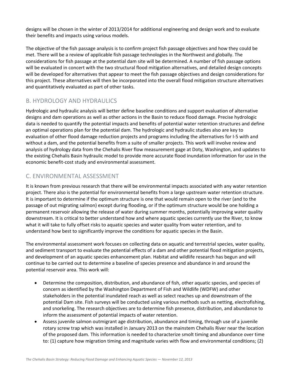designs will be chosen in the winter of 2013/2014 for additional engineering and design work and to evaluate their benefits and impacts using various models.

The objective of the fish passage analysis is to confirm project fish passage objectives and how they could be met. There will be a review of applicable fish passage technologies in the Northwest and globally. The considerations for fish passage at the potential dam site will be determined. A number of fish passage options will be evaluated in concert with the two structural flood mitigation alternatives, and detailed design concepts will be developed for alternatives that appear to meet the fish passage objectives and design considerations for this project. These alternatives will then be incorporated into the overall flood mitigation structure alternatives and quantitatively evaluated as part of other tasks.

#### B. HYDROLOGY AND HYDRAULICS

Hydrologic and hydraulic analysis will better define baseline conditions and support evaluation of alternative designs and dam operations as well as other actions in the Basin to reduce flood damage. Precise hydrologic data is needed to quantify the potential impacts and benefits of potential water retention structures and define an optimal operations plan for the potential dam. The hydrologic and hydraulic studies also are key to evaluation of other flood damage reduction projects and programs including the alternatives for I‐5 with and without a dam, and the potential benefits from a suite of smaller projects. This work will involve review and analysis of hydrology data from the Chehalis River flow measurement gage at Doty, Washington, and updates to the existing Chehalis Basin hydraulic model to provide more accurate flood inundation information for use in the economic benefit‐cost study and environmental assessment.

#### C. ENVIRONMENTAL ASSESSMENT

It is known from previous research that there will be environmental impacts associated with any water retention project. There also is the potential for environmental benefits from a large upstream water retention structure. It is important to determine if the optimum structure is one that would remain open to the river (and to the passage of out migrating salmon) except during flooding, or if the optimum structure would be one holding a permanent reservoir allowing the release of water during summer months, potentially improving water quality downstream. It is critical to better understand how and where aquatic species currently use the River, to know what it will take to fully offset risks to aquatic species and water quality from water retention, and to understand how best to significantly improve the conditions for aquatic species in the Basin.

The environmental assessment work focuses on collecting data on aquatic and terrestrial species, water quality, and sediment transport to evaluate the potential effects of a dam and other potential flood mitigation projects, and development of an aquatic species enhancement plan. Habitat and wildlife research has begun and will continue to be carried out to determine a baseline of species presence and abundance in and around the potential reservoir area. This work will:

- Determine the composition, distribution, and abundance of fish, other aquatic species, and species of concern as identified by the Washington Department of Fish and Wildlife (WDFW) and other stakeholders in the potential inundated reach as well as select reaches up and downstream of the potential Dam site. Fish surveys will be conducted using various methods such as netting, electrofishing, and snorkeling. The research objectives are to determine fish presence, distribution, and abundance to inform the assessment of potential impacts of water retention.
- Assess juvenile salmon outmigrant age distribution, abundance and timing, through use of a juvenile rotary screw trap which was installed in January 2013 on the mainstem Chehalis River near the location of the proposed dam. This information is needed to characterize smolt timing and abundance over time to: (1) capture how migration timing and magnitude varies with flow and environmental conditions; (2)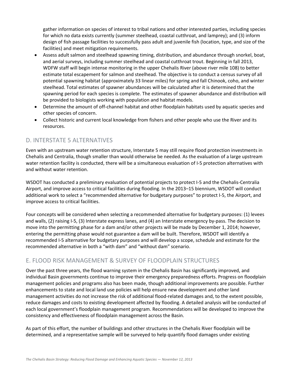gather information on species of interest to tribal nations and other interested parties, including species for which no data exists currently (summer steelhead, coastal cutthroat, and lamprey); and (3) inform design of fish passage facilities to successfully pass adult and juvenile fish (location, type, and size of the facilities) and meet mitigation requirements.

- Assess adult salmon and steelhead spawning timing, distribution, and abundance through snorkel, boat, and aerial surveys, including summer steelhead and coastal cutthroat trout. Beginning in fall 2013, WDFW staff will begin intense monitoring in the upper Chehalis River (above river mile 108) to better estimate total escapement for salmon and steelhead. The objective is to conduct a census survey of all potential spawning habitat (approximately 33 linear miles) for spring and fall Chinook, coho, and winter steelhead. Total estimates of spawner abundances will be calculated after it is determined that the spawning period for each species is complete. The estimates of spawner abundance and distribution will be provided to biologists working with population and habitat models.
- Determine the amount of off‐channel habitat and other floodplain habitats used by aquatic species and other species of concern.
- Collect historic and current local knowledge from fishers and other people who use the River and its resources.

#### D. INTERSTATE 5 ALTERNATIVES

Even with an upstream water retention structure, Interstate 5 may still require flood protection investments in Chehalis and Centralia, though smaller than would otherwise be needed. As the evaluation of a large upstream water retention facility is conducted, there will be a simultaneous evaluation of I‐5 protection alternatives with and without water retention.

WSDOT has conducted a preliminary evaluation of potential projects to protect I‐5 and the Chehalis‐Centralia Airport, and improve access to critical facilities during flooding. In the 2013–15 biennium, WSDOT will conduct additional work to select a "recommended alternative for budgetary purposes" to protect I‐5, the Airport, and improve access to critical facilities.

Four concepts will be considered when selecting a recommended alternative for budgetary purposes: (1) levees and walls, (2) raising I-5, (3) Interstate express lanes, and (4) an Interstate emergency by-pass. The decision to move into the permitting phase for a dam and/or other projects will be made by December 1, 2014; however, entering the permitting phase would not guarantee a dam will be built. Therefore, WSDOT will identify a recommended I‐5 alternative for budgetary purposes and will develop a scope, schedule and estimate for the recommended alternative in both a "with dam" and "without dam" scenario.

#### E. FLOOD RISK MANAGEMENT & SURVEY OF FLOODPLAIN STRUCTURES

Over the past three years, the flood warning system in the Chehalis Basin has significantly improved, and individual Basin governments continue to improve their emergency preparedness efforts. Progress on floodplain management policies and programs also has been made, though additional improvements are possible. Further enhancements to state and local land use policies will help ensure new development and other land management activities do not increase the risk of additional flood‐related damages and, to the extent possible, reduce damages and costs to existing development affected by flooding. A detailed analysis will be conducted of each local government's floodplain management program. Recommendations will be developed to improve the consistency and effectiveness of floodplain management across the Basin.

As part of this effort, the number of buildings and other structures in the Chehalis River floodplain will be determined, and a representative sample will be surveyed to help quantify flood damages under existing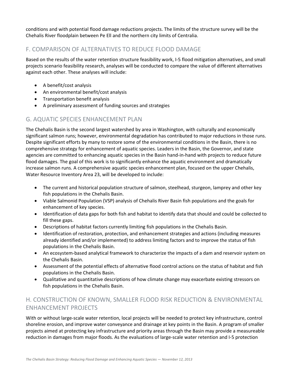conditions and with potential flood damage reductions projects. The limits of the structure survey will be the Chehalis River floodplain between Pe Ell and the northern city limits of Centralia.

#### F. COMPARISON OF ALTERNATIVES TO REDUCE FLOOD DAMAGE

Based on the results of the water retention structure feasibility work, I‐5 flood mitigation alternatives, and small projects scenario feasibility research, analyses will be conducted to compare the value of different alternatives against each other. These analyses will include:

- A benefit/cost analysis
- An environmental benefit/cost analysis
- Transportation benefit analysis
- A preliminary assessment of funding sources and strategies

#### G. AQUATIC SPECIES ENHANCEMENT PLAN

The Chehalis Basin is the second largest watershed by area in Washington, with culturally and economically significant salmon runs; however, environmental degradation has contributed to major reductions in those runs. Despite significant efforts by many to restore some of the environmental conditions in the Basin, there is no comprehensive strategy for enhancement of aquatic species. Leaders in the Basin, the Governor, and state agencies are committed to enhancing aquatic species in the Basin hand‐in‐hand with projects to reduce future flood damages. The goal of this work is to significantly enhance the aquatic environment and dramatically increase salmon runs. A comprehensive aquatic species enhancement plan, focused on the upper Chehalis, Water Resource Inventory Area 23, will be developed to include:

- The current and historical population structure of salmon, steelhead, sturgeon, lamprey and other key fish populations in the Chehalis Basin.
- Viable Salmonid Population (VSP) analysis of Chehalis River Basin fish populations and the goals for enhancement of key species.
- Identification of data gaps for both fish and habitat to identify data that should and could be collected to fill these gaps.
- Descriptions of habitat factors currently limiting fish populations in the Chehalis Basin.
- Identification of restoration, protection, and enhancement strategies and actions (including measures already identified and/or implemented) to address limiting factors and to improve the status of fish populations in the Chehalis Basin.
- An ecosystem-based analytical framework to characterize the impacts of a dam and reservoir system on the Chehalis Basin.
- Assessment of the potential effects of alternative flood control actions on the status of habitat and fish populations in the Chehalis Basin.
- Qualitative and quantitative descriptions of how climate change may exacerbate existing stressors on fish populations in the Chehalis Basin.

#### H. CONSTRUCTION OF KNOWN, SMALLER FLOOD RISK REDUCTION & ENVIRONMENTAL ENHANCEMENT PROJECTS

With or without large‐scale water retention, local projects will be needed to protect key infrastructure, control shoreline erosion, and improve water conveyance and drainage at key points in the Basin. A program of smaller projects aimed at protecting key infrastructure and priority areas through the Basin may provide a measureable reduction in damages from major floods. As the evaluations of large‐scale water retention and I‐5 protection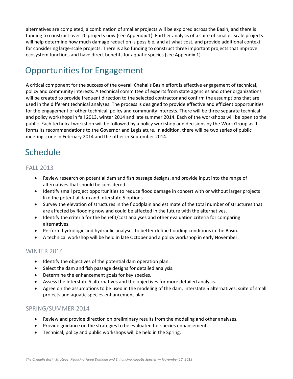alternatives are completed, a combination of smaller projects will be explored across the Basin, and there is funding to construct over 20 projects now (see Appendix 1). Further analysis of a suite of smaller-scale projects will help determine how much damage reduction is possible, and at what cost, and provide additional context for considering large‐scale projects. There is also funding to construct three important projects that improve ecosystem functions and have direct benefits for aquatic species (see Appendix 1).

## Opportunities for Engagement

A critical component for the success of the overall Chehalis Basin effort is effective engagement of technical, policy and community interests. A technical committee of experts from state agencies and other organizations will be created to provide frequent direction to the selected contractor and confirm the assumptions that are used in the different technical analyses. The process is designed to provide effective and efficient opportunities for the engagement of other technical, policy and community interests. There will be three separate technical and policy workshops in fall 2013, winter 2014 and late summer 2014. Each of the workshops will be open to the public. Each technical workshop will be followed by a policy workshop and decisions by the Work Group as it forms its recommendations to the Governor and Legislature. In addition, there will be two series of public meetings; one in February 2014 and the other in September 2014.

## Schedule

#### FALL 2013

- Review research on potential dam and fish passage designs, and provide input into the range of alternatives that should be considered.
- Identify small project opportunities to reduce flood damage in concert with or without larger projects like the potential dam and Interstate 5 options.
- Survey the elevation of structures in the floodplain and estimate of the total number of structures that are affected by flooding now and could be affected in the future with the alternatives.
- Identify the criteria for the benefit/cost analyses and other evaluation criteria for comparing alternatives.
- Perform hydrologic and hydraulic analyses to better define flooding conditions in the Basin.
- A technical workshop will be held in late October and a policy workshop in early November.

#### WINTER 2014

- Identify the objectives of the potential dam operation plan.
- Select the dam and fish passage designs for detailed analysis.
- Determine the enhancement goals for key species.
- Assess the Interstate 5 alternatives and the objectives for more detailed analysis.
- Agree on the assumptions to be used in the modeling of the dam, Interstate 5 alternatives, suite of small projects and aquatic species enhancement plan.

#### SPRING/SUMMER 2014

- Review and provide direction on preliminary results from the modeling and other analyses.
- Provide guidance on the strategies to be evaluated for species enhancement.
- Technical, policy and public workshops will be held in the Spring.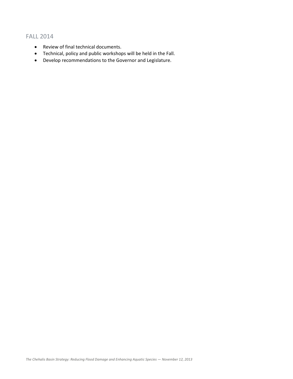#### FALL 2014

- Review of final technical documents.
- Technical, policy and public workshops will be held in the Fall.
- Develop recommendations to the Governor and Legislature.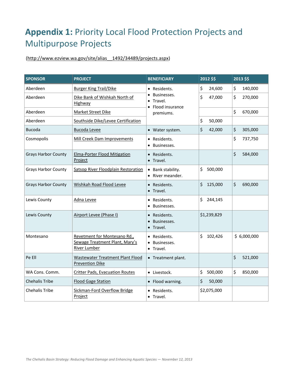## **Appendix 1:** Priority Local Flood Protection Projects and Multipurpose Projects

(http://www.ezview.wa.gov/site/alias\_\_1492/34489/projects.aspx)

| <b>SPONSOR</b>             | <b>PROJECT</b>                                                                 | <b>BENEFICIARY</b>                                    | 2012 \$\$     | 2013 \$\$     |
|----------------------------|--------------------------------------------------------------------------------|-------------------------------------------------------|---------------|---------------|
| Aberdeen                   | <b>Burger King Trail/Dike</b>                                                  | • Residents.                                          | \$<br>24,600  | \$<br>140,000 |
| Aberdeen                   | Dike Bank of Wishkah North of<br>Highway                                       | Businesses.<br>Travel.<br>Flood insurance             | \$<br>47,000  | \$<br>270,000 |
| Aberdeen                   | <b>Market Street Dike</b>                                                      | premiums.                                             |               | \$<br>670,000 |
| Aberdeen                   | Southside Dike/Levee Certification                                             |                                                       | \$<br>50,000  |               |
| <b>Bucoda</b>              | <b>Bucoda Levee</b>                                                            | • Water system.                                       | \$<br>42,000  | \$<br>305,000 |
| Cosmopolis                 | Mill Creek Dam Improvements                                                    | • Residents.<br>Businesses.<br>$\bullet$              |               | \$<br>737,750 |
| <b>Grays Harbor County</b> | <b>Elma-Porter Flood Mitigation</b><br>Project                                 | • Residents.<br>• Travel.                             |               | \$<br>584,000 |
| <b>Grays Harbor County</b> | Satsop River Floodplain Restoration                                            | • Bank stability.<br>• River meander.                 | \$<br>500,000 |               |
| <b>Grays Harbor County</b> | Wishkah Road Flood Levee                                                       | • Residents.<br>• Travel.                             | \$<br>125,000 | \$<br>690,000 |
| Lewis County               | Adna Levee                                                                     | • Residents.<br>Businesses.                           | \$<br>244,145 |               |
| Lewis County               | Airport Levee (Phase I)                                                        | • Residents.<br>Businesses.<br>• Travel.              | \$1,239,829   |               |
| Montesano                  | Revetment for Montesano Rd.,<br>Sewage Treatment Plant, Mary's<br>River Lumber | • Residents.<br>Businesses.<br>$\bullet$<br>• Travel. | \$<br>102,426 | \$6,000,000   |
| Pe Ell                     | Wastewater Treatment Plant Flood<br><b>Prevention Dike</b>                     | • Treatment plant.                                    |               | \$<br>521,000 |
| WA Cons. Comm.             | <b>Critter Pads, Evacuation Routes</b>                                         | · Livestock.                                          | \$<br>500,000 | \$<br>850,000 |
| <b>Chehalis Tribe</b>      | <b>Flood Gage Station</b>                                                      | • Flood warning.                                      | \$<br>50,000  |               |
| <b>Chehalis Tribe</b>      | <b>Sickman-Ford Overflow Bridge</b><br>Project                                 | Residents.<br>· Travel.                               | \$2,075,000   |               |